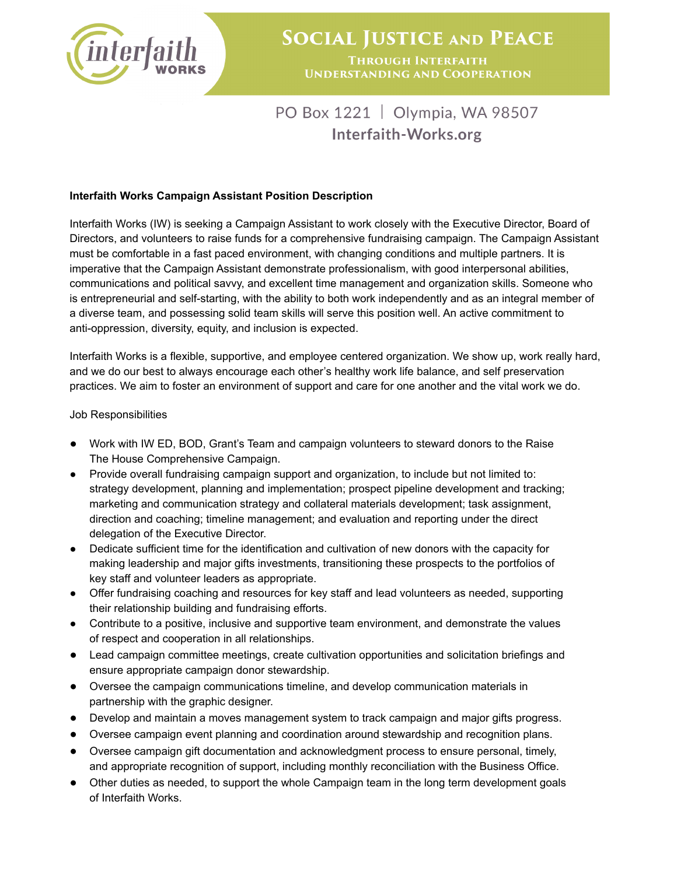

## PO Box 1221 | Olympia, WA 98507 Interfaith-Works.org

## **Interfaith Works Campaign Assistant Position Description**

Interfaith Works (IW) is seeking a Campaign Assistant to work closely with the Executive Director, Board of Directors, and volunteers to raise funds for a comprehensive fundraising campaign. The Campaign Assistant must be comfortable in a fast paced environment, with changing conditions and multiple partners. It is imperative that the Campaign Assistant demonstrate professionalism, with good interpersonal abilities, communications and political savvy, and excellent time management and organization skills. Someone who is entrepreneurial and self-starting, with the ability to both work independently and as an integral member of a diverse team, and possessing solid team skills will serve this position well. An active commitment to anti-oppression, diversity, equity, and inclusion is expected.

Interfaith Works is a flexible, supportive, and employee centered organization. We show up, work really hard, and we do our best to always encourage each other's healthy work life balance, and self preservation practices. We aim to foster an environment of support and care for one another and the vital work we do.

## Job Responsibilities

- Work with IW ED, BOD, Grant's Team and campaign volunteers to steward donors to the Raise The House Comprehensive Campaign.
- Provide overall fundraising campaign support and organization, to include but not limited to: strategy development, planning and implementation; prospect pipeline development and tracking; marketing and communication strategy and collateral materials development; task assignment, direction and coaching; timeline management; and evaluation and reporting under the direct delegation of the Executive Director.
- Dedicate sufficient time for the identification and cultivation of new donors with the capacity for making leadership and major gifts investments, transitioning these prospects to the portfolios of key staff and volunteer leaders as appropriate.
- Offer fundraising coaching and resources for key staff and lead volunteers as needed, supporting their relationship building and fundraising efforts.
- Contribute to a positive, inclusive and supportive team environment, and demonstrate the values of respect and cooperation in all relationships.
- Lead campaign committee meetings, create cultivation opportunities and solicitation briefings and ensure appropriate campaign donor stewardship.
- Oversee the campaign communications timeline, and develop communication materials in partnership with the graphic designer.
- Develop and maintain a moves management system to track campaign and major gifts progress.
- Oversee campaign event planning and coordination around stewardship and recognition plans.
- Oversee campaign gift documentation and acknowledgment process to ensure personal, timely, and appropriate recognition of support, including monthly reconciliation with the Business Office.
- Other duties as needed, to support the whole Campaign team in the long term development goals of Interfaith Works.